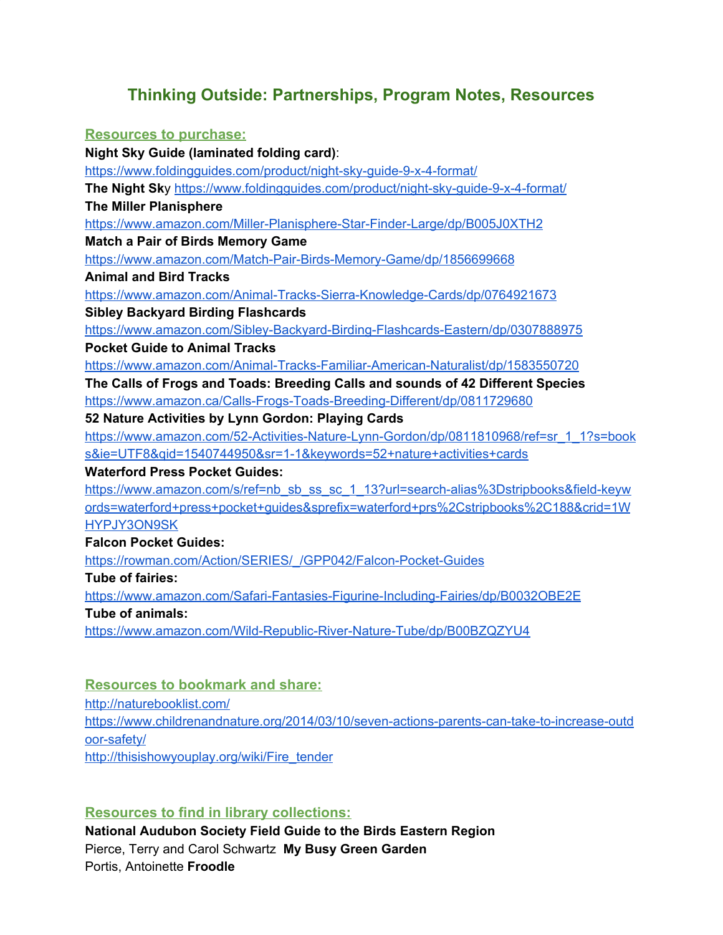# **Thinking Outside: Partnerships, Program Notes, Resources**

## **Resources to purchase: Night Sky Guide (laminated folding card)**: <https://www.foldingguides.com/product/night-sky-guide-9-x-4-format/> **The Night Sk**y <https://www.foldingguides.com/product/night-sky-guide-9-x-4-format/> **The Miller Planisphere** <https://www.amazon.com/Miller-Planisphere-Star-Finder-Large/dp/B005J0XTH2> **Match a Pair of Birds Memory Game** <https://www.amazon.com/Match-Pair-Birds-Memory-Game/dp/1856699668> **Animal and Bird Tracks** <https://www.amazon.com/Animal-Tracks-Sierra-Knowledge-Cards/dp/0764921673> **Sibley Backyard Birding Flashcards** <https://www.amazon.com/Sibley-Backyard-Birding-Flashcards-Eastern/dp/0307888975> **Pocket Guide to Animal Tracks** <https://www.amazon.com/Animal-Tracks-Familiar-American-Naturalist/dp/1583550720> **The Calls of Frogs and Toads: Breeding Calls and sounds of 42 Different Species** <https://www.amazon.ca/Calls-Frogs-Toads-Breeding-Different/dp/0811729680> **52 Nature Activities by Lynn Gordon: Playing Cards** [https://www.amazon.com/52-Activities-Nature-Lynn-Gordon/dp/0811810968/ref=sr\\_1\\_1?s=book](https://www.amazon.com/52-Activities-Nature-Lynn-Gordon/dp/0811810968/ref=sr_1_1?s=books&ie=UTF8&qid=1540744950&sr=1-1&keywords=52+nature+activities+cards) [s&ie=UTF8&qid=1540744950&sr=1-1&keywords=52+nature+activities+cards](https://www.amazon.com/52-Activities-Nature-Lynn-Gordon/dp/0811810968/ref=sr_1_1?s=books&ie=UTF8&qid=1540744950&sr=1-1&keywords=52+nature+activities+cards) **Waterford Press Pocket Guides:** [https://www.amazon.com/s/ref=nb\\_sb\\_ss\\_sc\\_1\\_13?url=search-alias%3Dstripbooks&field-keyw](https://www.amazon.com/s/ref=nb_sb_ss_sc_1_13?url=search-alias%3Dstripbooks&field-keywords=waterford+press+pocket+guides&sprefix=waterford+prs%2Cstripbooks%2C188&crid=1WHYPJY3ON9SK) [ords=waterford+press+pocket+guides&sprefix=waterford+prs%2Cstripbooks%2C188&crid=1W](https://www.amazon.com/s/ref=nb_sb_ss_sc_1_13?url=search-alias%3Dstripbooks&field-keywords=waterford+press+pocket+guides&sprefix=waterford+prs%2Cstripbooks%2C188&crid=1WHYPJY3ON9SK) [HYPJY3ON9SK](https://www.amazon.com/s/ref=nb_sb_ss_sc_1_13?url=search-alias%3Dstripbooks&field-keywords=waterford+press+pocket+guides&sprefix=waterford+prs%2Cstripbooks%2C188&crid=1WHYPJY3ON9SK) **Falcon Pocket Guides:** [https://rowman.com/Action/SERIES/\\_/GPP042/Falcon-Pocket-Guides](https://rowman.com/Action/SERIES/_/GPP042/Falcon-Pocket-Guides) **Tube of fairies:** <https://www.amazon.com/Safari-Fantasies-Figurine-Including-Fairies/dp/B0032OBE2E> **Tube of animals:** <https://www.amazon.com/Wild-Republic-River-Nature-Tube/dp/B00BZQZYU4>

## **Resources to bookmark and share:**

<http://naturebooklist.com/> [https://www.childrenandnature.org/2014/03/10/seven-actions-parents-can-take-to-increase-outd](https://www.childrenandnature.org/2014/03/10/seven-actions-parents-can-take-to-increase-outdoor-safety/) [oor-safety/](https://www.childrenandnature.org/2014/03/10/seven-actions-parents-can-take-to-increase-outdoor-safety/) [http://thisishowyouplay.org/wiki/Fire\\_tender](http://thisishowyouplay.org/wiki/Fire_tender)

## **Resources to find in library collections:**

**National Audubon Society Field Guide to the Birds Eastern Region** Pierce, Terry and Carol Schwartz **My Busy Green Garden** Portis, Antoinette **Froodle**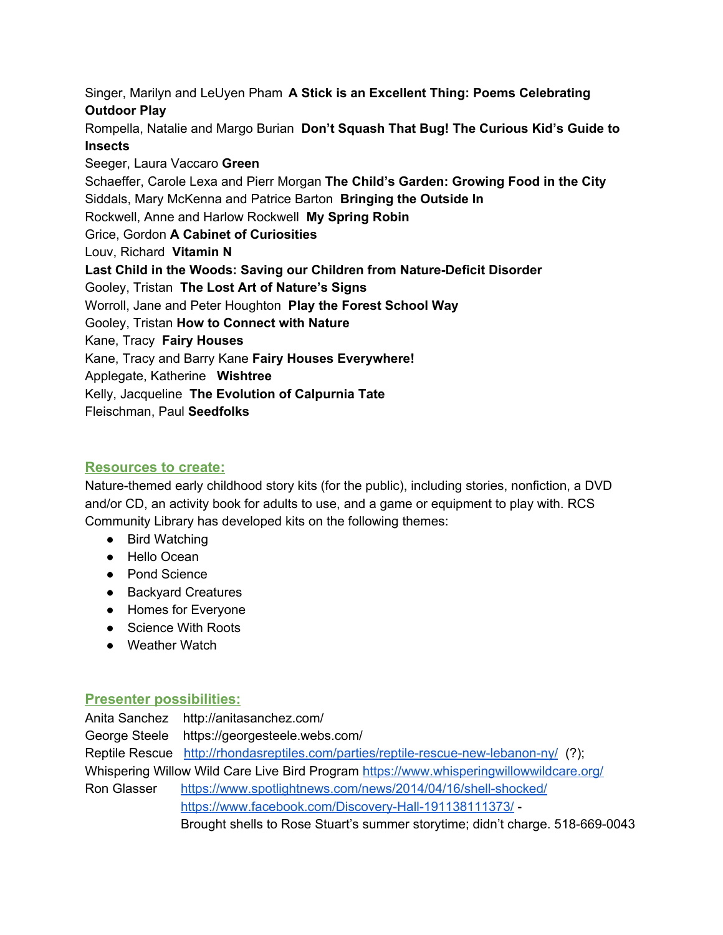Singer, Marilyn and LeUyen Pham **A Stick is an Excellent Thing: Poems Celebrating Outdoor Play**

Rompella, Natalie and Margo Burian **Don't Squash That Bug! The Curious Kid's Guide to Insects**

Seeger, Laura Vaccaro **Green** Schaeffer, Carole Lexa and Pierr Morgan **The Child's Garden: Growing Food in the City** Siddals, Mary McKenna and Patrice Barton **Bringing the Outside In** Rockwell, Anne and Harlow Rockwell **My Spring Robin** Grice, Gordon **A Cabinet of Curiosities** Louv, Richard **Vitamin N Last Child in the Woods: Saving our Children from Nature-Deficit Disorder** Gooley, Tristan **The Lost Art of Nature's Signs** Worroll, Jane and Peter Houghton **Play the Forest School Way** Gooley, Tristan **How to Connect with Nature** Kane, Tracy **Fairy Houses** Kane, Tracy and Barry Kane **Fairy Houses Everywhere!** Applegate, Katherine **Wishtree** Kelly, Jacqueline **The Evolution of Calpurnia Tate** Fleischman, Paul **Seedfolks**

#### **Resources to create:**

Nature-themed early childhood story kits (for the public), including stories, nonfiction, a DVD and/or CD, an activity book for adults to use, and a game or equipment to play with. RCS Community Library has developed kits on the following themes:

- Bird Watching
- Hello Ocean
- Pond Science
- Backyard Creatures
- Homes for Everyone
- Science With Roots
- Weather Watch

#### **Presenter possibilities:**

Anita Sanchez http://anitasanchez.com/ George Steele https://georgesteele.webs.com/ Reptile Rescue <http://rhondasreptiles.com/parties/reptile-rescue-new-lebanon-ny/> (?); Whispering Willow Wild Care Live Bird Program <https://www.whisperingwillowwildcare.org/> Ron Glasser <https://www.spotlightnews.com/news/2014/04/16/shell-shocked/> <https://www.facebook.com/Discovery-Hall-191138111373/> - Brought shells to Rose Stuart's summer storytime; didn't charge. 518-669-0043